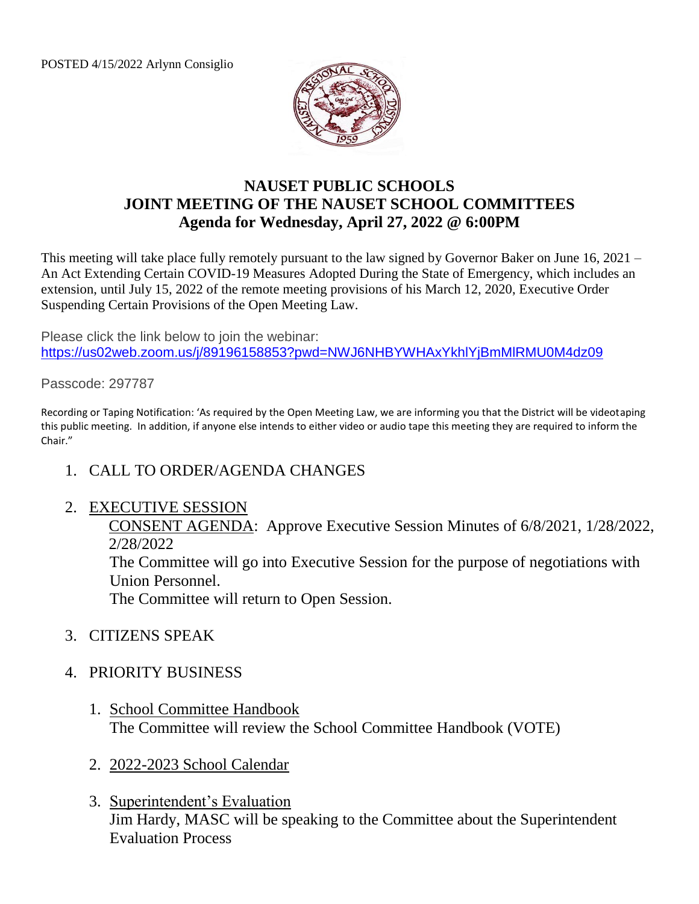POSTED 4/15/2022 Arlynn Consiglio



## **NAUSET PUBLIC SCHOOLS JOINT MEETING OF THE NAUSET SCHOOL COMMITTEES Agenda for Wednesday, April 27, 2022 @ 6:00PM**

This meeting will take place fully remotely pursuant to the law signed by Governor Baker on June 16, 2021 – An Act Extending Certain COVID-19 Measures Adopted During the State of Emergency, which includes an extension, until July 15, 2022 of the remote meeting provisions of his March 12, 2020, Executive Order Suspending Certain Provisions of the Open Meeting Law.

Please click the link below to join the webinar: <https://us02web.zoom.us/j/89196158853?pwd=NWJ6NHBYWHAxYkhlYjBmMlRMU0M4dz09>

Passcode: 297787

Recording or Taping Notification: 'As required by the Open Meeting Law, we are informing you that the District will be videotaping this public meeting. In addition, if anyone else intends to either video or audio tape this meeting they are required to inform the Chair."

1. CALL TO ORDER/AGENDA CHANGES

## 2. EXECUTIVE SESSION

CONSENT AGENDA: Approve Executive Session Minutes of 6/8/2021, 1/28/2022, 2/28/2022

The Committee will go into Executive Session for the purpose of negotiations with Union Personnel.

The Committee will return to Open Session.

- 3. CITIZENS SPEAK
- 4. PRIORITY BUSINESS
	- 1. School Committee Handbook The Committee will review the School Committee Handbook (VOTE)
	- 2. 2022-2023 School Calendar
	- 3. Superintendent's Evaluation Jim Hardy, MASC will be speaking to the Committee about the Superintendent Evaluation Process